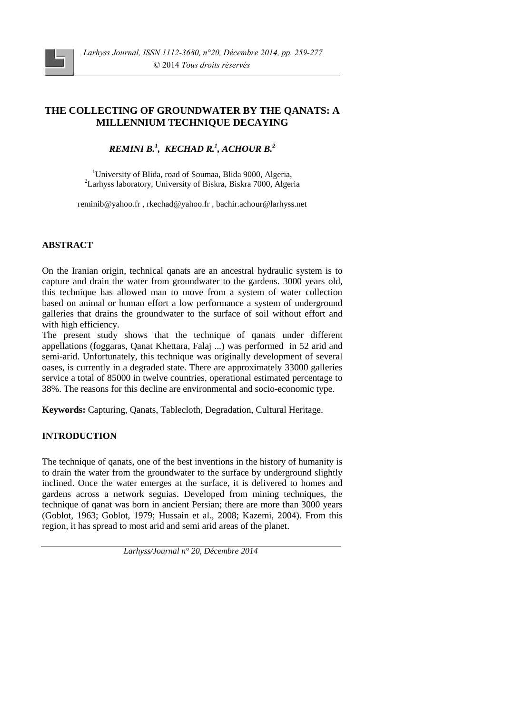

# **THE COLLECTING OF GROUNDWATER BY THE QANATS: A MILLENNIUM TECHNIQUE DECAYING**

# *REMINI B.<sup>1</sup> , KECHAD R.<sup>1</sup> , ACHOUR B.<sup>2</sup>*

<sup>1</sup>University of Blida, road of Soumaa, Blida 9000, Algeria, <sup>2</sup>Larhyss laboratory, University of Biskra, Biskra 7000, Algeria

reminib@yahoo.fr , rkechad@yahoo.fr , bachir.achour@larhyss.net

# **ABSTRACT**

On the Iranian origin, technical qanats are an ancestral hydraulic system is to capture and drain the water from groundwater to the gardens. 3000 years old, this technique has allowed man to move from a system of water collection based on animal or human effort a low performance a system of underground galleries that drains the groundwater to the surface of soil without effort and with high efficiency.

The present study shows that the technique of qanats under different appellations (foggaras, Qanat Khettara, Falaj ...) was performed in 52 arid and semi-arid. Unfortunately, this technique was originally development of several oases, is currently in a degraded state. There are approximately 33000 galleries service a total of 85000 in twelve countries, operational estimated percentage to 38%. The reasons for this decline are environmental and socio-economic type.

**Keywords:** Capturing, Qanats, Tablecloth, Degradation, Cultural Heritage.

## **INTRODUCTION**

The technique of qanats, one of the best inventions in the history of humanity is to drain the water from the groundwater to the surface by underground slightly inclined. Once the water emerges at the surface, it is delivered to homes and gardens across a network seguias. Developed from mining techniques, the technique of qanat was born in ancient Persian; there are more than 3000 years (Goblot, 1963; Goblot, 1979; Hussain et al., 2008; Kazemi, 2004). From this region, it has spread to most arid and semi arid areas of the planet.

*Larhyss/Journal n° 20, Décembre 2014*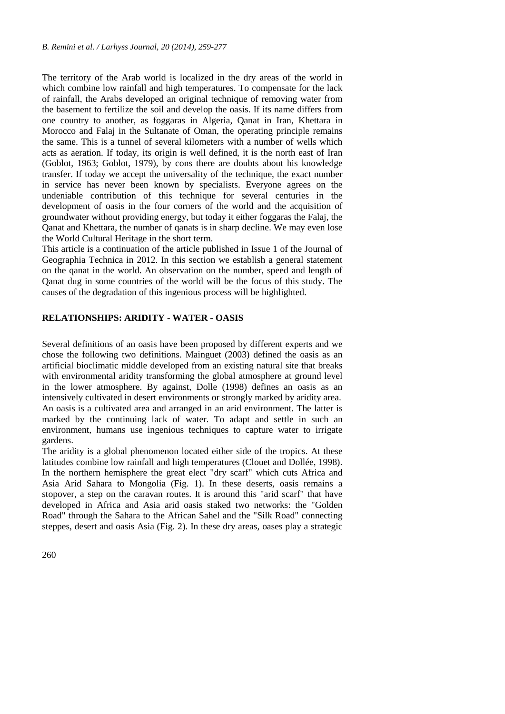The territory of the Arab world is localized in the dry areas of the world in which combine low rainfall and high temperatures. To compensate for the lack of rainfall, the Arabs developed an original technique of removing water from the basement to fertilize the soil and develop the oasis. If its name differs from one country to another, as foggaras in Algeria, Qanat in Iran, Khettara in Morocco and Falaj in the Sultanate of Oman, the operating principle remains the same. This is a tunnel of several kilometers with a number of wells which acts as aeration. If today, its origin is well defined, it is the north east of Iran (Goblot, 1963; Goblot, 1979), by cons there are doubts about his knowledge transfer. If today we accept the universality of the technique, the exact number in service has never been known by specialists. Everyone agrees on the undeniable contribution of this technique for several centuries in the development of oasis in the four corners of the world and the acquisition of groundwater without providing energy, but today it either foggaras the Falaj, the Qanat and Khettara, the number of qanats is in sharp decline. We may even lose the World Cultural Heritage in the short term.

This article is a continuation of the article published in Issue 1 of the Journal of Geographia Technica in 2012. In this section we establish a general statement on the qanat in the world. An observation on the number, speed and length of Qanat dug in some countries of the world will be the focus of this study. The causes of the degradation of this ingenious process will be highlighted.

### **RELATIONSHIPS: ARIDITY - WATER - OASIS**

Several definitions of an oasis have been proposed by different experts and we chose the following two definitions. Mainguet (2003) defined the oasis as an artificial bioclimatic middle developed from an existing natural site that breaks with environmental aridity transforming the global atmosphere at ground level in the lower atmosphere. By against, Dolle (1998) defines an oasis as an intensively cultivated in desert environments or strongly marked by aridity area. An oasis is a cultivated area and arranged in an arid environment. The latter is marked by the continuing lack of water. To adapt and settle in such an environment, humans use ingenious techniques to capture water to irrigate gardens.

The aridity is a global phenomenon located either side of the tropics. At these latitudes combine low rainfall and high temperatures (Clouet and Dollée, 1998). In the northern hemisphere the great elect "dry scarf" which cuts Africa and Asia Arid Sahara to Mongolia (Fig. 1). In these deserts, oasis remains a stopover, a step on the caravan routes. It is around this "arid scarf" that have developed in Africa and Asia arid oasis staked two networks: the "Golden Road" through the Sahara to the African Sahel and the "Silk Road" connecting steppes, desert and oasis Asia (Fig. 2). In these dry areas, oases play a strategic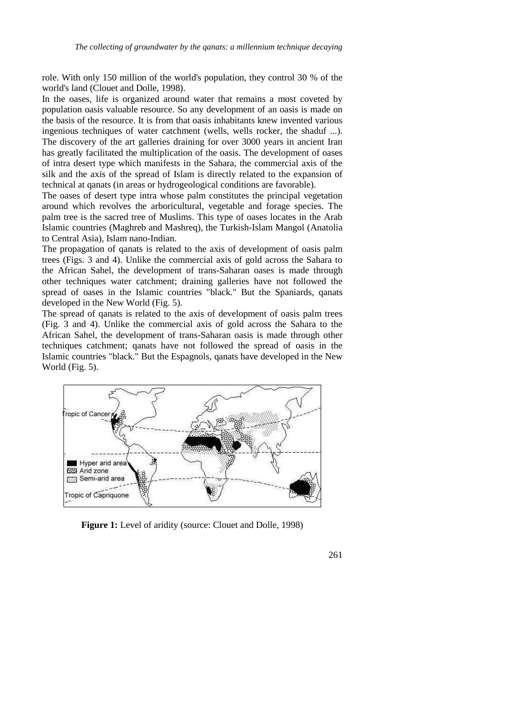role. With only 150 million of the world's population, they control 30 % of the world's land (Clouet and Dolle, 1998).

In the oases, life is organized around water that remains a most coveted by population oasis valuable resource. So any development of an oasis is made on the basis of the resource. It is from that oasis inhabitants knew invented various ingenious techniques of water catchment (wells, wells rocker, the shaduf ...). The discovery of the art galleries draining for over 3000 years in ancient Iran has greatly facilitated the multiplication of the oasis. The development of oases of intra desert type which manifests in the Sahara, the commercial axis of the silk and the axis of the spread of Islam is directly related to the expansion of technical at qanats (in areas or hydrogeological conditions are favorable).

The oases of desert type intra whose palm constitutes the principal vegetation around which revolves the arboricultural, vegetable and forage species. The palm tree is the sacred tree of Muslims. This type of oases locates in the Arab Islamic countries (Maghreb and Mashreq), the Turkish-Islam Mangol (Anatolia to Central Asia), Islam nano-Indian.

The propagation of qanats is related to the axis of development of oasis palm trees (Figs. 3 and 4). Unlike the commercial axis of gold across the Sahara to the African Sahel, the development of trans-Saharan oases is made through other techniques water catchment; draining galleries have not followed the spread of oases in the Islamic countries "black." But the Spaniards, qanats developed in the New World (Fig. 5).

The spread of qanats is related to the axis of development of oasis palm trees (Fig. 3 and 4). Unlike the commercial axis of gold across the Sahara to the African Sahel, the development of trans-Saharan oasis is made through other techniques catchment; qanats have not followed the spread of oasis in the Islamic countries "black." But the Espagnols, qanats have developed in the New World (Fig. 5).



**Figure 1:** Level of aridity (source: Clouet and Dolle, 1998)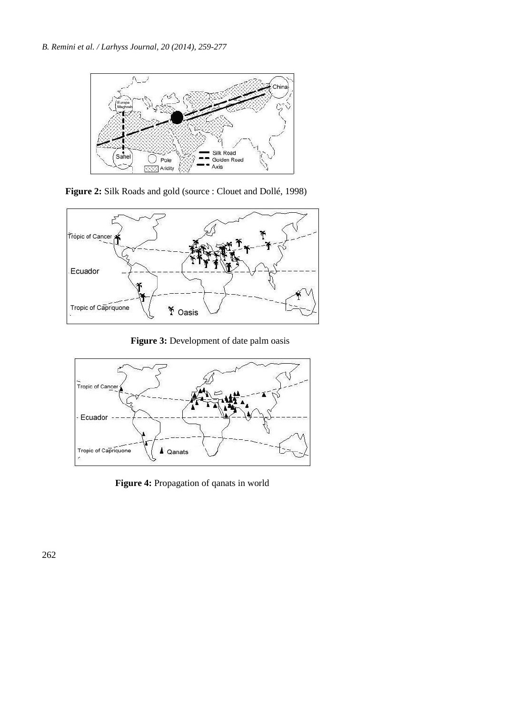

**Figure 2:** Silk Roads and gold (source : Clouet and Dollé, 1998)



 **Figure 3:** Development of date palm oasis



**Figure 4:** Propagation of qanats in world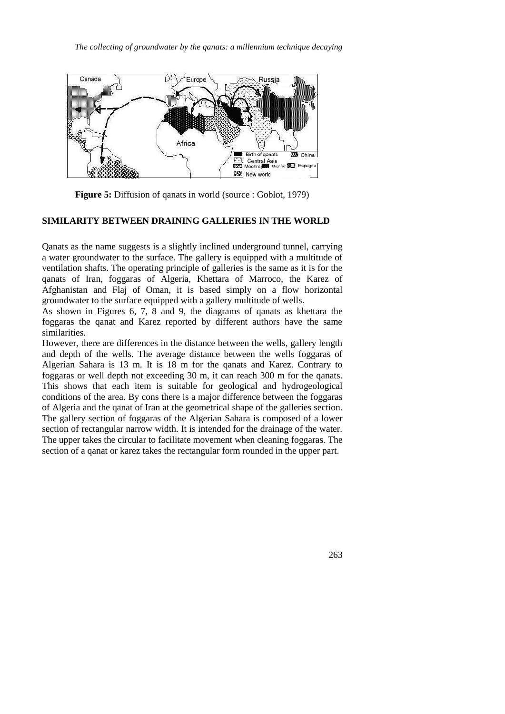*The collecting of groundwater by the qanats: a millennium technique decaying*



**Figure 5:** Diffusion of qanats in world (source : Goblot, 1979)

### **SIMILARITY BETWEEN DRAINING GALLERIES IN THE WORLD**

Qanats as the name suggests is a slightly inclined underground tunnel, carrying a water groundwater to the surface. The gallery is equipped with a multitude of ventilation shafts. The operating principle of galleries is the same as it is for the qanats of Iran, foggaras of Algeria, Khettara of Marroco, the Karez of Afghanistan and Flaj of Oman, it is based simply on a flow horizontal groundwater to the surface equipped with a gallery multitude of wells.

As shown in Figures 6, 7, 8 and 9, the diagrams of qanats as khettara the foggaras the qanat and Karez reported by different authors have the same similarities.

However, there are differences in the distance between the wells, gallery length and depth of the wells. The average distance between the wells foggaras of Algerian Sahara is 13 m. It is 18 m for the qanats and Karez. Contrary to foggaras or well depth not exceeding 30 m, it can reach 300 m for the qanats. This shows that each item is suitable for geological and hydrogeological conditions of the area. By cons there is a major difference between the foggaras of Algeria and the qanat of Iran at the geometrical shape of the galleries section. The gallery section of foggaras of the Algerian Sahara is composed of a lower section of rectangular narrow width. It is intended for the drainage of the water. The upper takes the circular to facilitate movement when cleaning foggaras. The section of a qanat or karez takes the rectangular form rounded in the upper part.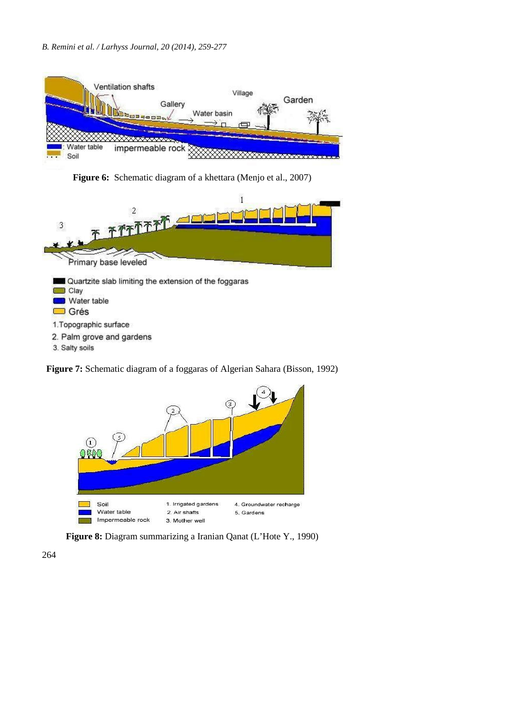### *B. Remini et al. / Larhyss Journal, 20 (2014), 259-277*



**Figure 6:** Schematic diagram of a khettara (Menjo et al., 2007)



3. Salty soils

**Figure 7:** Schematic diagram of a foggaras of Algerian Sahara (Bisson, 1992)



**Figure 8:** Diagram summarizing a Iranian Qanat (L'Hote Y., 1990)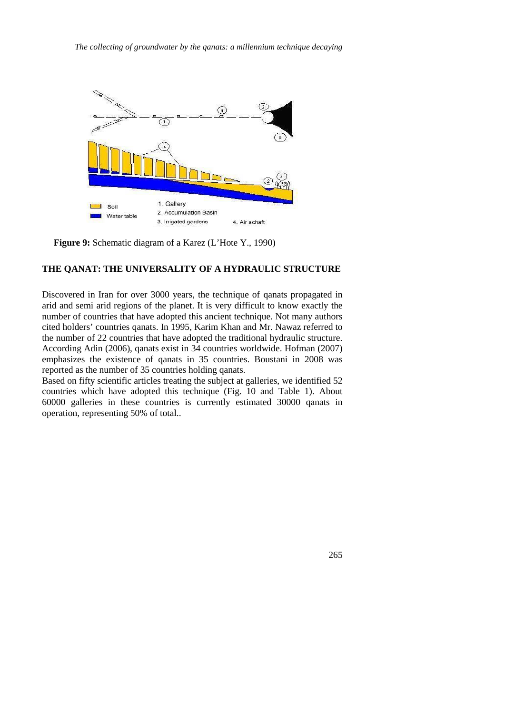

**Figure 9:** Schematic diagram of a Karez (L'Hote Y., 1990)

### **THE QANAT: THE UNIVERSALITY OF A HYDRAULIC STRUCTURE**

Discovered in Iran for over 3000 years, the technique of qanats propagated in arid and semi arid regions of the planet. It is very difficult to know exactly the number of countries that have adopted this ancient technique. Not many authors cited holders' countries qanats. In 1995, Karim Khan and Mr. Nawaz referred to the number of 22 countries that have adopted the traditional hydraulic structure. According Adin (2006), qanats exist in 34 countries worldwide. Hofman (2007) emphasizes the existence of qanats in 35 countries. Boustani in 2008 was reported as the number of 35 countries holding qanats.

Based on fifty scientific articles treating the subject at galleries, we identified 52 countries which have adopted this technique (Fig. 10 and Table 1). About 60000 galleries in these countries is currently estimated 30000 qanats in operation, representing 50% of total..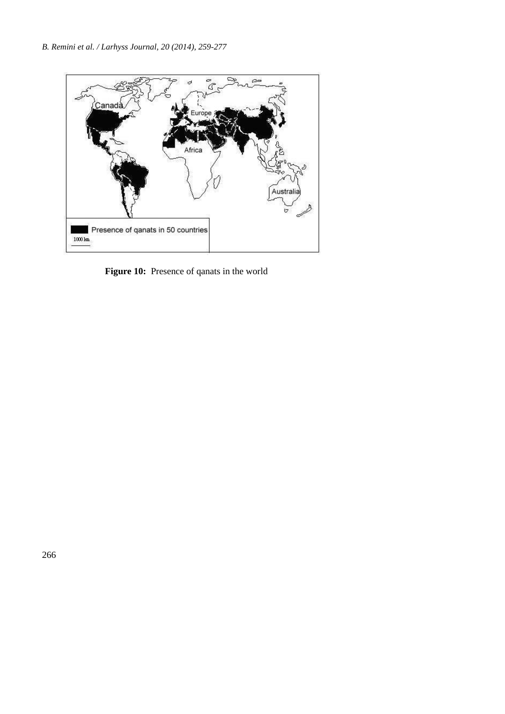

 **Figure 10:** Presence of qanats in the world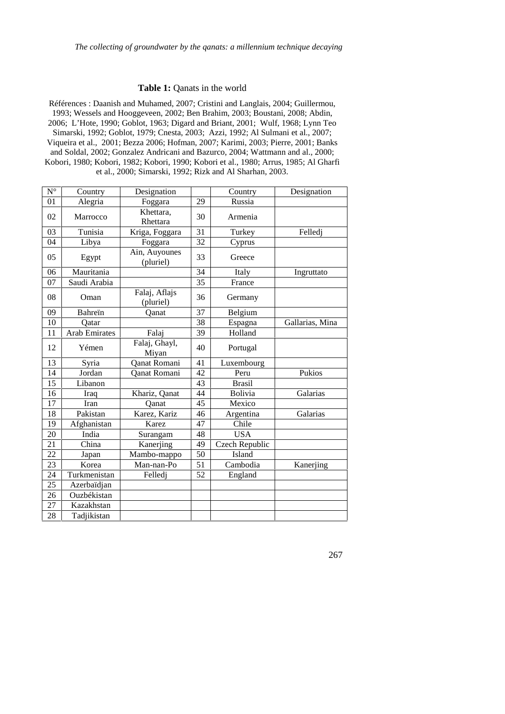### **Table 1:** Qanats in the world

Références : Daanish and Muhamed, 2007; Cristini and Langlais, 2004; Guillermou, 1993; Wessels and Hooggeveen, 2002; Ben Brahim, 2003; Boustani, 2008; Abdin, 2006; L'Hote, 1990; Goblot, 1963; Digard and Briant, 2001; Wulf, 1968; Lynn Teo Simarski, 1992; Goblot, 1979; Cnesta, 2003; Azzi, 1992; Al Sulmani et al., 2007; Viqueira et al., 2001; Bezza 2006; Hofman, 2007; Karimi, 2003; Pierre, 2001; Banks and Soldal, 2002; Gonzalez Andricani and Bazurco, 2004; Wattmann and al., 2000; Kobori, 1980; Kobori, 1982; Kobori, 1990; Kobori et al., 1980; Arrus, 1985; Al Gharfi

| et al., 2000; Simarski, 1992; Rizk and Al Sharhan, 2003. |  |
|----------------------------------------------------------|--|
|----------------------------------------------------------|--|

| $N^{\circ}$ | Country              | Designation                |    | Country               | Designation     |
|-------------|----------------------|----------------------------|----|-----------------------|-----------------|
| 01          | Alegria              | Foggara                    | 29 | Russia                |                 |
| 02          | Marrocco             | Khettara,<br>Rhettara      | 30 | Armenia               |                 |
| 03          | Tunisia              | Kriga, Foggara             | 31 | Turkey                | Felledj         |
| 04          | Libya                | Foggara                    | 32 | Cyprus                |                 |
| 05          | Egypt                | Ain, Auyounes<br>(pluriel) | 33 | Greece                |                 |
| 06          | Mauritania           |                            | 34 | Italy                 | Ingruttato      |
| 07          | Saudi Arabia         |                            | 35 | France                |                 |
| 08          | Oman                 | Falaj, Aflajs<br>(pluriel) | 36 | Germany               |                 |
| 09          | <b>Bahrein</b>       | Oanat                      | 37 | Belgium               |                 |
| 10          | Qatar                |                            | 38 | Espagna               | Gallarias, Mina |
| 11          | <b>Arab Emirates</b> | Falaj                      | 39 | Holland               |                 |
| 12          | Yémen                | Falaj, Ghayl,<br>Miyan     | 40 | Portugal              |                 |
| 13          | Syria                | Qanat Romani               | 41 | Luxembourg            |                 |
| 14          | Jordan               | Qanat Romani               | 42 | Peru                  | Pukios          |
| 15          | Libanon              |                            | 43 | <b>Brasil</b>         |                 |
| 16          | Iraq                 | Khariz, Qanat              | 44 | Bolivia               | Galarias        |
| 17          | Iran                 | Qanat                      | 45 | Mexico                |                 |
| 18          | Pakistan             | Karez, Kariz               | 46 | Galarias<br>Argentina |                 |
| 19          | Afghanistan          | Karez                      | 47 | Chile                 |                 |
| 20          | India                | Surangam                   | 48 | <b>USA</b>            |                 |
| 21          | China                | Kanerjing                  | 49 | Czech Republic        |                 |
| 22          | Japan                | Mambo-mappo                | 50 | Island                |                 |
| 23          | Korea                | Man-nan-Po                 | 51 | Cambodia              | Kanerjing       |
| 24          | Turkmenistan         | Felledj                    | 52 | England               |                 |
| 25          | Azerbaïdjan          |                            |    |                       |                 |
| 26          | Ouzbékistan          |                            |    |                       |                 |
| 27          | Kazakhstan           |                            |    |                       |                 |
| 28          | Tadjikistan          |                            |    |                       |                 |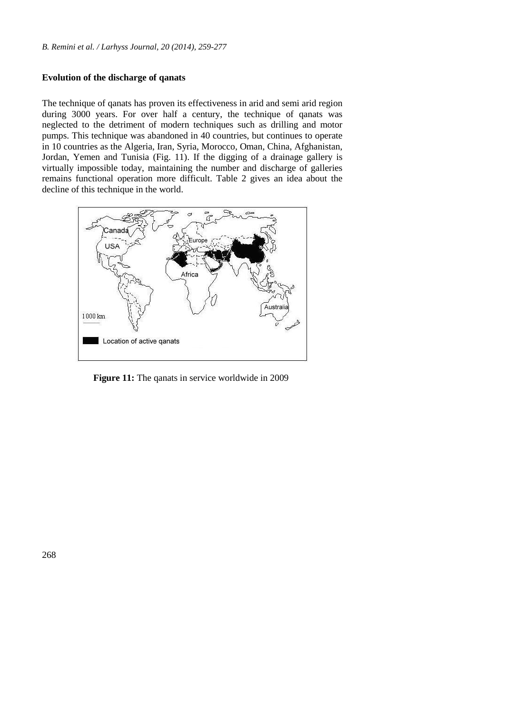### **Evolution of the discharge of qanats**

The technique of qanats has proven its effectiveness in arid and semi arid region during 3000 years. For over half a century, the technique of qanats was neglected to the detriment of modern techniques such as drilling and motor pumps. This technique was abandoned in 40 countries, but continues to operate in 10 countries as the Algeria, Iran, Syria, Morocco, Oman, China, Afghanistan, Jordan, Yemen and Tunisia (Fig. 11). If the digging of a drainage gallery is virtually impossible today, maintaining the number and discharge of galleries remains functional operation more difficult. Table 2 gives an idea about the decline of this technique in the world.



 **Figure 11:** The qanats in service worldwide in 2009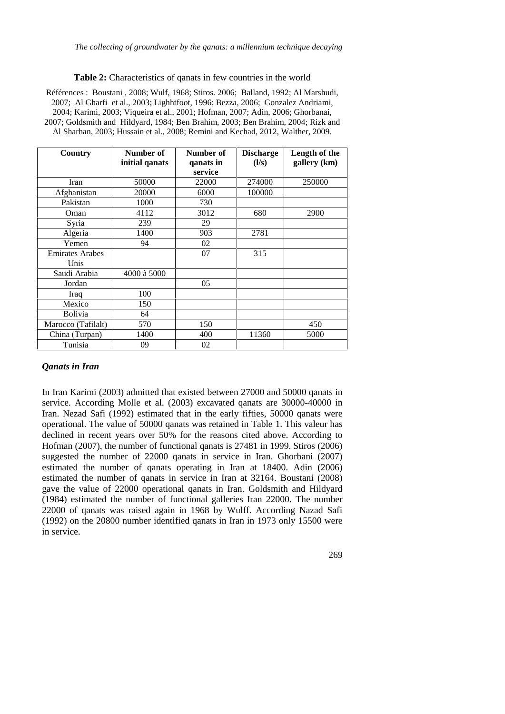#### **Table 2:** Characteristics of qanats in few countries in the world

Références : Boustani , 2008; Wulf, 1968; Stiros. 2006; Balland, 1992; Al Marshudi, 2007; Al Gharfi et al., 2003; Lighhtfoot, 1996; Bezza, 2006; Gonzalez Andriami, 2004; Karimi, 2003; Viqueira et al., 2001; Hofman, 2007; Adin, 2006; Ghorbanai, 2007; Goldsmith and Hildyard, 1984; Ben Brahim, 2003; Ben Brahim, 2004; Rizk and Al Sharhan, 2003; Hussain et al., 2008; Remini and Kechad, 2012, Walther, 2009.

| Country                | Number of      | Number of | <b>Discharge</b> | Length of the |
|------------------------|----------------|-----------|------------------|---------------|
|                        | initial qanats | qanats in | (l/s)            | gallery (km)  |
|                        |                | service   |                  |               |
| Iran                   | 50000          | 22000     | 274000           | 250000        |
| Afghanistan            | 20000          | 6000      | 100000           |               |
| Pakistan               | 1000           | 730       |                  |               |
| Oman                   | 4112           | 3012      | 680              | 2900          |
| Syria                  | 239            | 29        |                  |               |
| Algeria                | 1400           | 903       | 2781             |               |
| Yemen                  | 94             | 02        |                  |               |
| <b>Emirates Arabes</b> |                | 07        | 315              |               |
| Unis                   |                |           |                  |               |
| Saudi Arabia           | 4000 à 5000    |           |                  |               |
| Jordan                 |                | 05        |                  |               |
| Iraq                   | 100            |           |                  |               |
| Mexico                 | 150            |           |                  |               |
| <b>Bolivia</b>         | 64             |           |                  |               |
| Marocco (Tafilalt)     | 570            | 150       |                  | 450           |
| China (Turpan)         | 1400           | 400       | 11360            | 5000          |
| Tunisia                | 09             | 02        |                  |               |

### *Qanats in Iran*

In Iran Karimi (2003) admitted that existed between 27000 and 50000 qanats in service. According Molle et al. (2003) excavated qanats are 30000-40000 in Iran. Nezad Safi (1992) estimated that in the early fifties, 50000 qanats were operational. The value of 50000 qanats was retained in Table 1. This valeur has declined in recent years over 50% for the reasons cited above. According to Hofman (2007), the number of functional qanats is 27481 in 1999. Stiros (2006) suggested the number of 22000 qanats in service in Iran. Ghorbani (2007) estimated the number of qanats operating in Iran at 18400. Adin (2006) estimated the number of qanats in service in Iran at 32164. Boustani (2008) gave the value of 22000 operational qanats in Iran. Goldsmith and Hildyard (1984) estimated the number of functional galleries Iran 22000. The number 22000 of qanats was raised again in 1968 by Wulff. According Nazad Safi (1992) on the 20800 number identified qanats in Iran in 1973 only 15500 were in service.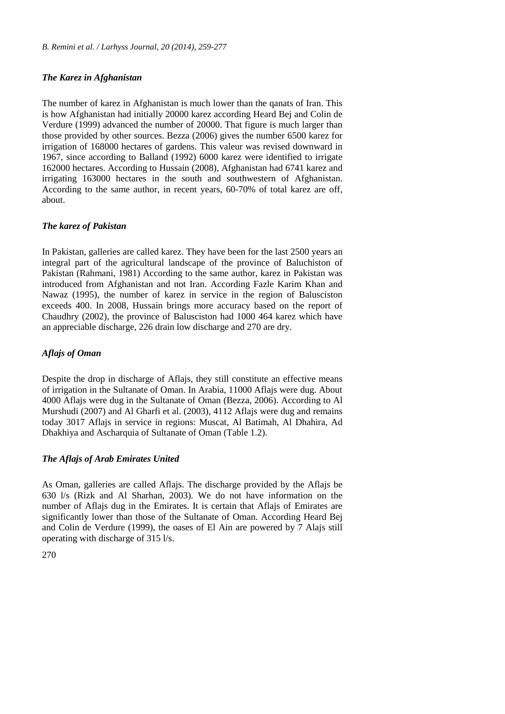### *The Karez in Afghanistan*

The number of karez in Afghanistan is much lower than the qanats of Iran. This is how Afghanistan had initially 20000 karez according Heard Bej and Colin de Verdure (1999) advanced the number of 20000. That figure is much larger than those provided by other sources. Bezza (2006) gives the number 6500 karez for irrigation of 168000 hectares of gardens. This valeur was revised downward in 1967, since according to Balland (1992) 6000 karez were identified to irrigate 162000 hectares. According to Hussain (2008), Afghanistan had 6741 karez and irrigating 163000 hectares in the south and southwestern of Afghanistan. According to the same author, in recent years, 60-70% of total karez are off, about.

# *The karez of Pakistan*

In Pakistan, galleries are called karez. They have been for the last 2500 years an integral part of the agricultural landscape of the province of Baluchiston of Pakistan (Rahmani, 1981) According to the same author, karez in Pakistan was introduced from Afghanistan and not Iran. According Fazle Karim Khan and Nawaz (1995), the number of karez in service in the region of Balusciston exceeds 400. In 2008, Hussain brings more accuracy based on the report of Chaudhry (2002), the province of Balusciston had 1000 464 karez which have an appreciable discharge, 226 drain low discharge and 270 are dry.

# *Aflajs of Oman*

Despite the drop in discharge of Aflajs, they still constitute an effective means of irrigation in the Sultanate of Oman. In Arabia, 11000 Aflajs were dug. About 4000 Aflajs were dug in the Sultanate of Oman (Bezza, 2006). According to Al Murshudi (2007) and Al Gharfi et al. (2003), 4112 Aflajs were dug and remains today 3017 Aflajs in service in regions: Muscat, Al Batimah, Al Dhahira, Ad Dhakhiya and Ascharquia of Sultanate of Oman (Table 1.2).

### *The Aflajs of Arab Emirates United*

As Oman, galleries are called Aflajs. The discharge provided by the Aflajs be 630 l/s (Rizk and Al Sharhan, 2003). We do not have information on the number of Aflajs dug in the Emirates. It is certain that Aflajs of Emirates are significantly lower than those of the Sultanate of Oman. According Heard Bej and Colin de Verdure (1999), the oases of El Ain are powered by 7 Alajs still operating with discharge of 315 l/s.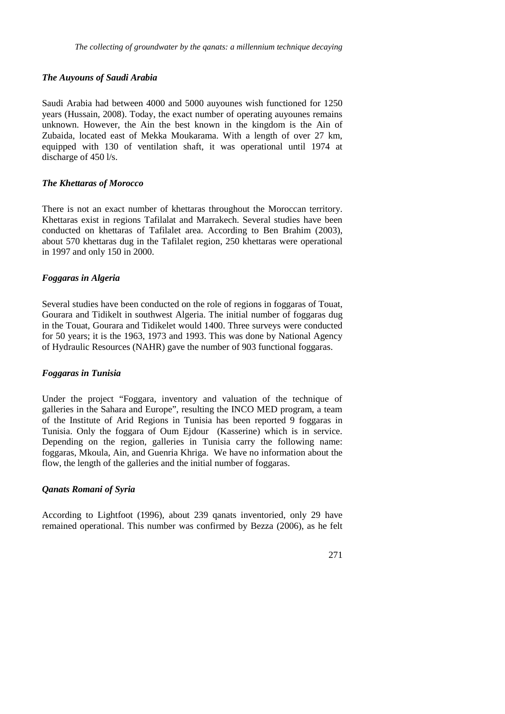#### *The Auyouns of Saudi Arabia*

Saudi Arabia had between 4000 and 5000 auyounes wish functioned for 1250 years (Hussain, 2008). Today, the exact number of operating auyounes remains unknown. However, the Ain the best known in the kingdom is the Ain of Zubaida, located east of Mekka Moukarama. With a length of over 27 km, equipped with 130 of ventilation shaft, it was operational until 1974 at discharge of 450 l/s.

#### *The Khettaras of Morocco*

There is not an exact number of khettaras throughout the Moroccan territory. Khettaras exist in regions Tafilalat and Marrakech. Several studies have been conducted on khettaras of Tafilalet area. According to Ben Brahim (2003), about 570 khettaras dug in the Tafilalet region, 250 khettaras were operational in 1997 and only 150 in 2000.

#### *Foggaras in Algeria*

Several studies have been conducted on the role of regions in foggaras of Touat, Gourara and Tidikelt in southwest Algeria. The initial number of foggaras dug in the Touat, Gourara and Tidikelet would 1400. Three surveys were conducted for 50 years; it is the 1963, 1973 and 1993. This was done by National Agency of Hydraulic Resources (NAHR) gave the number of 903 functional foggaras.

#### *Foggaras in Tunisia*

Under the project "Foggara, inventory and valuation of the technique of galleries in the Sahara and Europe", resulting the INCO MED program, a team of the Institute of Arid Regions in Tunisia has been reported 9 foggaras in Tunisia. Only the foggara of Oum Ejdour (Kasserine) which is in service. Depending on the region, galleries in Tunisia carry the following name: foggaras, Mkoula, Ain, and Guenria Khriga. We have no information about the flow, the length of the galleries and the initial number of foggaras.

### *Qanats Romani of Syria*

According to Lightfoot (1996), about 239 qanats inventoried, only 29 have remained operational. This number was confirmed by Bezza (2006), as he felt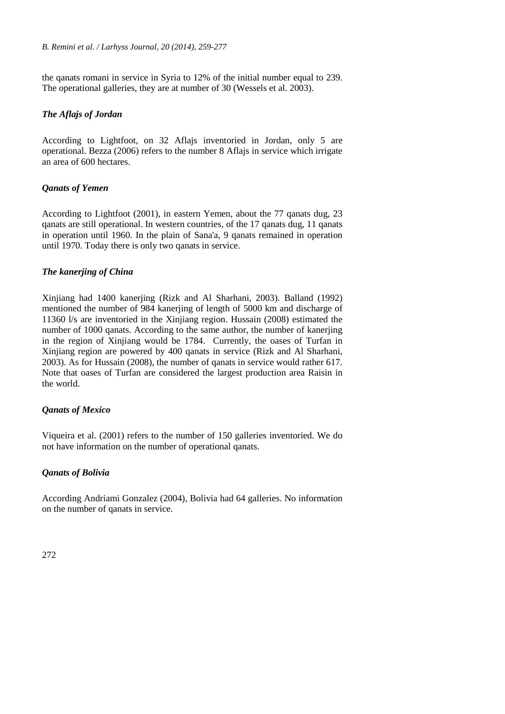the qanats romani in service in Syria to 12% of the initial number equal to 239. The operational galleries, they are at number of 30 (Wessels et al. 2003).

### *The Aflajs of Jordan*

According to Lightfoot, on 32 Aflajs inventoried in Jordan, only 5 are operational. Bezza (2006) refers to the number 8 Aflajs in service which irrigate an area of 600 hectares.

### *Qanats of Yemen*

According to Lightfoot (2001), in eastern Yemen, about the 77 qanats dug, 23 qanats are still operational. In western countries, of the 17 qanats dug, 11 qanats in operation until 1960. In the plain of Sana'a, 9 qanats remained in operation until 1970. Today there is only two qanats in service.

# *The kanerjing of China*

Xinjiang had 1400 kanerjing (Rizk and Al Sharhani, 2003). Balland (1992) mentioned the number of 984 kanerjing of length of 5000 km and discharge of 11360 l/s are inventoried in the Xinjiang region. Hussain (2008) estimated the number of 1000 qanats. According to the same author, the number of kanerjing in the region of Xinjiang would be 1784. Currently, the oases of Turfan in Xinjiang region are powered by 400 qanats in service (Rizk and Al Sharhani, 2003). As for Hussain (2008), the number of qanats in service would rather 617. Note that oases of Turfan are considered the largest production area Raisin in the world.

# *Qanats of Mexico*

Viqueira et al. (2001) refers to the number of 150 galleries inventoried. We do not have information on the number of operational qanats.

# *Qanats of Bolivia*

According Andriami Gonzalez (2004), Bolivia had 64 galleries. No information on the number of qanats in service.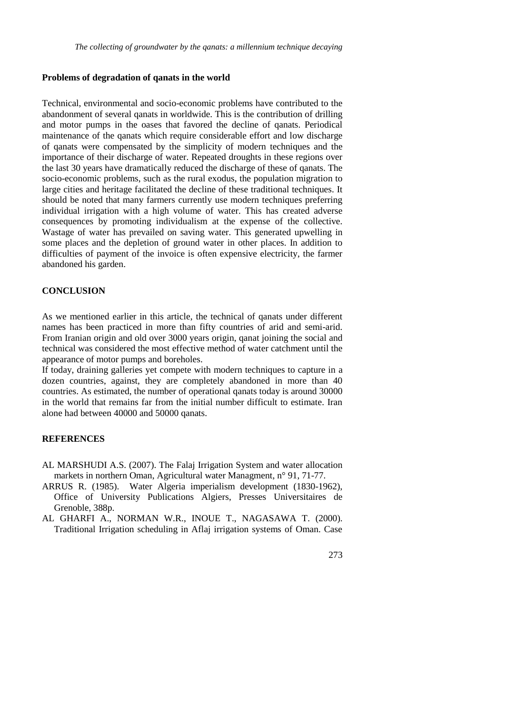#### **Problems of degradation of qanats in the world**

Technical, environmental and socio-economic problems have contributed to the abandonment of several qanats in worldwide. This is the contribution of drilling and motor pumps in the oases that favored the decline of qanats. Periodical maintenance of the qanats which require considerable effort and low discharge of qanats were compensated by the simplicity of modern techniques and the importance of their discharge of water. Repeated droughts in these regions over the last 30 years have dramatically reduced the discharge of these of qanats. The socio-economic problems, such as the rural exodus, the population migration to large cities and heritage facilitated the decline of these traditional techniques. It should be noted that many farmers currently use modern techniques preferring individual irrigation with a high volume of water. This has created adverse consequences by promoting individualism at the expense of the collective. Wastage of water has prevailed on saving water. This generated upwelling in some places and the depletion of ground water in other places. In addition to difficulties of payment of the invoice is often expensive electricity, the farmer abandoned his garden.

#### **CONCLUSION**

As we mentioned earlier in this article, the technical of qanats under different names has been practiced in more than fifty countries of arid and semi-arid. From Iranian origin and old over 3000 years origin, qanat joining the social and technical was considered the most effective method of water catchment until the appearance of motor pumps and boreholes.

If today, draining galleries yet compete with modern techniques to capture in a dozen countries, against, they are completely abandoned in more than 40 countries. As estimated, the number of operational qanats today is around 30000 in the world that remains far from the initial number difficult to estimate. Iran alone had between 40000 and 50000 qanats.

#### **REFERENCES**

- AL MARSHUDI A.S. (2007). The Falaj Irrigation System and water allocation markets in northern Oman, Agricultural water Managment, n° 91, 71-77.
- ARRUS R. (1985). Water Algeria imperialism development (1830-1962), Office of University Publications Algiers, Presses Universitaires de Grenoble, 388p.
- AL GHARFI A., NORMAN W.R., INOUE T., NAGASAWA T. (2000). Traditional Irrigation scheduling in Aflaj irrigation systems of Oman. Case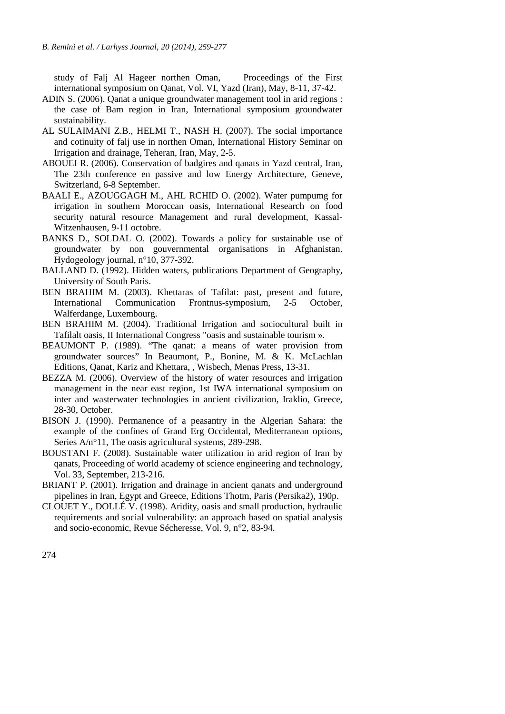study of Falj Al Hageer northen Oman, Proceedings of the First international symposium on Qanat*,* Vol. VI, Yazd (Iran), May, 8-11, 37-42.

- ADIN S. (2006). Qanat a unique groundwater management tool in arid regions : the case of Bam region in Iran, International symposium groundwater sustainability.
- AL SULAIMANI Z.B., HELMI T., NASH H. (2007). The social importance and cotinuity of falj use in northen Oman, International History Seminar on Irrigation and drainage, Teheran, Iran, May, 2-5.
- ABOUEI R. (2006). Conservation of badgires and qanats in Yazd central, Iran, The 23th conference en passive and low Energy Architecture, Geneve, Switzerland, 6-8 September.
- BAALI E., AZOUGGAGH M., AHL RCHID O. (2002). Water pumpumg for irrigation in southern Moroccan oasis, International Research on food security natural resource Management and rural development, Kassal- Witzenhausen, 9-11 octobre.
- BANKS D., SOLDAL O. (2002). Towards a policy for sustainable use of groundwater by non gouvernmental organisations in Afghanistan. Hydogeology journal, n°10, 377-392.
- BALLAND D. (1992). Hidden waters, publications Department of Geography, University of South Paris.
- BEN BRAHIM M. (2003). Khettaras of Tafilat: past, present and future, International Communication Frontnus-symposium, 2-5 October, Walferdange, Luxembourg.
- BEN BRAHIM M. (2004). Traditional Irrigation and sociocultural built in Tafilalt oasis, II International Congress "oasis and sustainable tourism ».
- BEAUMONT P. (1989). "The qanat: a means of water provision from groundwater sources" In Beaumont, P., Bonine, M. & K. McLachlan Editions, Qanat, Kariz and Khettara, , Wisbech, Menas Press, 13-31.
- BEZZA M. (2006). Overview of the history of water resources and irrigation management in the near east region, 1st IWA international symposium on inter and wasterwater technologies in ancient civilization, Iraklio, Greece, 28-30, October.
- BISON J. (1990). Permanence of a peasantry in the Algerian Sahara: the example of the confines of Grand Erg Occidental, Mediterranean options, Series A/n<sup>o</sup>11, The oasis agricultural systems, 289-298.
- BOUSTANI F. (2008). Sustainable water utilization in arid region of Iran by qanats, Proceeding of world academy of science engineering and technology, Vol. 33, September, 213-216.
- BRIANT P. (2001). Irrigation and drainage in ancient qanats and underground pipelines in Iran, Egypt and Greece, Editions Thotm, Paris (Persika2), 190p.
- CLOUET Y., DOLLÉ V. (1998). Aridity, oasis and small production, hydraulic requirements and social vulnerability: an approach based on spatial analysis and socio-economic, Revue Sécheresse, Vol. 9, n°2, 83-94.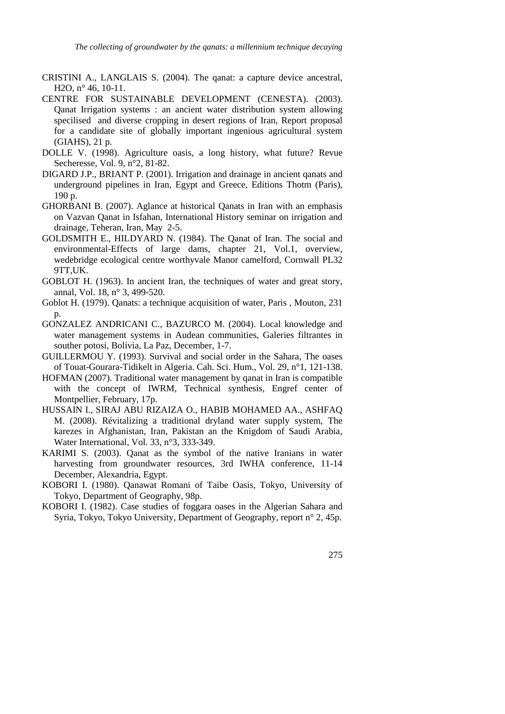- CRISTINI A., LANGLAIS S. (2004). The qanat: a capture device ancestral, H<sub>2</sub>O, n° 46, 10-11.
- CENTRE FOR SUSTAINABLE DEVELOPMENT (CENESTA). (2003). Qanat Irrigation systems : an ancient water distribution system allowing specilised and diverse cropping in desert regions of Iran, Report proposal for a candidate site of globally important ingenious agricultural system (GIAHS), 21 p.
- DOLLE V. (1998). Agriculture oasis, a long history, what future? Revue Secheresse, Vol. 9, n°2, 81-82.
- DIGARD J.P., BRIANT P. (2001). Irrigation and drainage in ancient qanats and underground pipelines in Iran, Egypt and Greece, Editions Thotm (Paris), 190 p.
- GHORBANI B. (2007). Aglance at historical Qanats in Iran with an emphasis on Vazvan Qanat in Isfahan, International History seminar on irrigation and drainage, Teheran, Iran, May 2-5.
- GOLDSMITH E., HILDYARD N. (1984). The Qanat of Iran. The social and environmental-Effects of large dams, chapter 21, Vol.1, overview, wedebridge ecological centre worthyvale Manor camelford, Cornwall PL32 9TT,UK.
- GOBLOT H. (1963). In ancient Iran, the techniques of water and great story, annal, Vol. 18, n° 3, 499-520.
- Goblot H. (1979). Qanats: a technique acquisition of water, Paris , Mouton, 231 p.
- GONZALEZ ANDRICANI C., BAZURCO M. (2004). Local knowledge and water management systems in Audean communities, Galeries filtrantes in souther potosi, Bolivia, La Paz, December, 1-7.
- GUILLERMOU Y. (1993). Survival and social order in the Sahara, The oases of Touat-Gourara-Tidikelt in Algeria. Cah. Sci. Hum., Vol. 29, n°1, 121-138.
- HOFMAN (2007). Traditional water management by qanat in Iran is compatible with the concept of IWRM, Technical synthesis, Engref center of Montpellier, February, 17p.
- HUSSAIN I., SIRAJ ABU RIZAIZA O., HABIB MOHAMED AA., ASHFAQ M. (2008). Révitalizing a traditional dryland water supply system, The karezes in Afghanistan, Iran, Pakistan an the Knigdom of Saudi Arabia, Water International, Vol. 33, n°3, 333-349.
- KARIMI S. (2003). Qanat as the symbol of the native Iranians in water harvesting from groundwater resources, 3rd IWHA conference, 11-14 December, Alexandria, Egypt.
- KOBORI I. (1980). Qanawat Romani of Taibe Oasis, Tokyo, University of Tokyo, Department of Geography, 98p.
- KOBORI I. (1982). Case studies of foggara oases in the Algerian Sahara and Syria, Tokyo, Tokyo University, Department of Geography, report n° 2, 45p.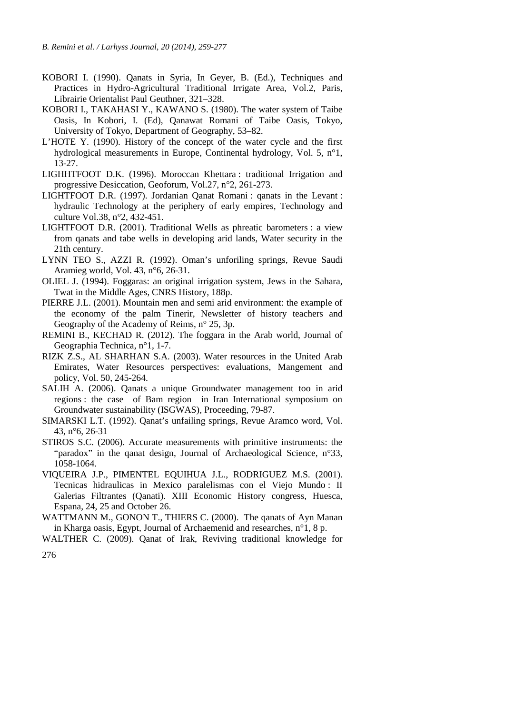- KOBORI I. (1990). Qanats in Syria, In Geyer, B. (Ed.), Techniques and Practices in Hydro-Agricultural Traditional Irrigate Area, Vol.2, Paris, Librairie Orientalist Paul Geuthner, 321–328.
- KOBORI I., TAKAHASI Y., KAWANO S. (1980). The water system of Taibe Oasis, In Kobori, I. (Ed), Qanawat Romani of Taibe Oasis, Tokyo, University of Tokyo, Department of Geography, 53–82.
- L'HOTE Y. (1990). History of the concept of the water cycle and the first hydrological measurements in Europe, Continental hydrology, Vol. 5, n°1, 13-27.
- LIGHHTFOOT D.K. (1996). Moroccan Khettara : traditional Irrigation and progressive Desiccation, Geoforum, Vol.27, n°2, 261-273.
- LIGHTFOOT D.R. (1997). Jordanian Qanat Romani : qanats in the Levant : hydraulic Technology at the periphery of early empires, Technology and culture Vol.38, n°2, 432-451.
- LIGHTFOOT D.R. (2001). Traditional Wells as phreatic barometers : a view from qanats and tabe wells in developing arid lands, Water security in the 21th century.
- LYNN TEO S., AZZI R. (1992). Oman's unforiling springs, Revue Saudi Aramieg world, Vol. 43, n°6, 26-31.
- OLIEL J. (1994). Foggaras: an original irrigation system, Jews in the Sahara, Twat in the Middle Ages, CNRS History, 188p.
- PIERRE J.L. (2001). Mountain men and semi arid environment: the example of the economy of the palm Tinerir, Newsletter of history teachers and Geography of the Academy of Reims, n° 25, 3p.
- REMINI B., KECHAD R. (2012). The foggara in the Arab world, Journal of Geographia Technica, n°1, 1-7.
- RIZK Z.S., AL SHARHAN S.A. (2003). Water resources in the United Arab Emirates, Water Resources perspectives: evaluations, Mangement and policy, Vol. 50, 245-264.
- SALIH A. (2006). Qanats a unique Groundwater management too in arid regions : the case of Bam region in Iran International symposium on Groundwater sustainability (ISGWAS), Proceeding, 79-87.
- SIMARSKI L.T. (1992). Qanat's unfailing springs, Revue Aramco word, Vol. 43, n°6, 26-31
- STIROS S.C. (2006). Accurate measurements with primitive instruments: the "paradox" in the qanat design, Journal of Archaeological Science, n°33, 1058-1064.
- VIQUEIRA J.P., PIMENTEL EQUIHUA J.L., RODRIGUEZ M.S. (2001). Tecnicas hidraulicas in Mexico paralelismas con el Viejo Mundo : II Galerias Filtrantes (Qanati). XIII Economic History congress, Huesca, Espana, 24, 25 and October 26.
- WATTMANN M., GONON T., THIERS C. (2000). The qanats of Ayn Manan in Kharga oasis, Egypt, Journal of Archaemenid and researches, n°1, 8 p.
- WALTHER C. (2009). Qanat of Irak, Reviving traditional knowledge for